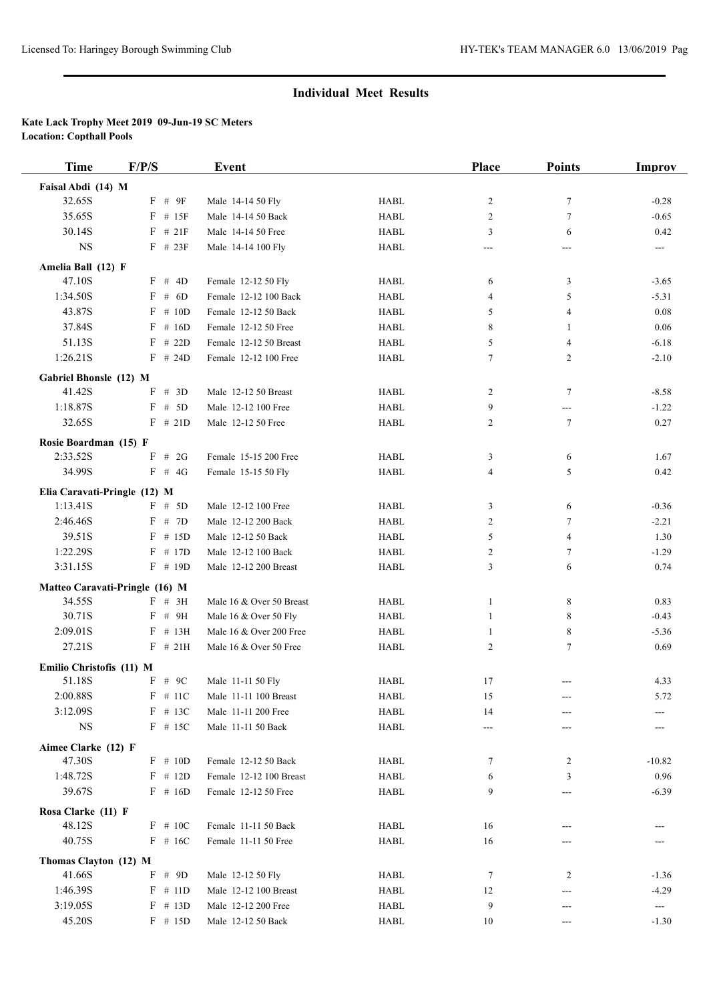| <b>Time</b>                              | F/P/S      | <b>Event</b>             |             | Place          | <b>Points</b>  | Improv                   |
|------------------------------------------|------------|--------------------------|-------------|----------------|----------------|--------------------------|
| Faisal Abdi (14) M                       |            |                          |             |                |                |                          |
| 32.65S                                   | $F$ # $9F$ | Male 14-14 50 Fly        | <b>HABL</b> | $\overline{c}$ | $\tau$         | $-0.28$                  |
| 35.65S                                   | $F$ # 15F  | Male 14-14 50 Back       | <b>HABL</b> | 2              | $\tau$         | $-0.65$                  |
| 30.14S                                   | $F$ # 21F  | Male 14-14 50 Free       | <b>HABL</b> | 3              | 6              | 0.42                     |
| <b>NS</b>                                | $F$ # 23F  | Male 14-14 100 Fly       | <b>HABL</b> | $---$          | $---$          | $---$                    |
|                                          |            |                          |             |                |                |                          |
| Amelia Ball (12) F<br>47.10S             | F # 4D     | Female 12-12 50 Fly      | <b>HABL</b> | 6              | 3              | $-3.65$                  |
| 1:34.50S                                 | $F$ # 6D   | Female 12-12 100 Back    | <b>HABL</b> | 4              | 5              | $-5.31$                  |
| 43.87S                                   | $F \# 10D$ | Female 12-12 50 Back     | <b>HABL</b> | 5              | 4              | 0.08                     |
| 37.84S                                   |            |                          | <b>HABL</b> |                |                | 0.06                     |
|                                          | $F$ # 16D  | Female 12-12 50 Free     |             | 8              | 1              |                          |
| 51.13S                                   | $F$ # 22D  | Female 12-12 50 Breast   | <b>HABL</b> | 5              | 4              | $-6.18$                  |
| 1:26.21S                                 | $F$ # 24D  | Female 12-12 100 Free    | <b>HABL</b> | 7              | $\overline{c}$ | $-2.10$                  |
| Gabriel Bhonsle (12) M                   |            |                          |             |                |                |                          |
| 41.42S                                   | F # 3D     | Male 12-12 50 Breast     | <b>HABL</b> | 2              | 7              | $-8.58$                  |
| 1:18.87S                                 | $F$ # 5D   | Male 12-12 100 Free      | <b>HABL</b> | 9              | ---            | $-1.22$                  |
| 32.65S                                   | $F$ # 21D  | Male 12-12 50 Free       | <b>HABL</b> | 2              | $\tau$         | 0.27                     |
| Rosie Boardman (15) F                    |            |                          |             |                |                |                          |
| 2:33.52S                                 | $F$ # 2G   | Female 15-15 200 Free    | <b>HABL</b> | 3              | 6              | 1.67                     |
| 34.99S                                   | $F$ # 4G   | Female 15-15 50 Fly      | <b>HABL</b> | 4              | 5              | 0.42                     |
|                                          |            |                          |             |                |                |                          |
| Elia Caravati-Pringle (12) M<br>1:13.41S | $F$ # 5D   | Male 12-12 100 Free      | <b>HABL</b> | 3              | 6              | $-0.36$                  |
| 2:46.46S                                 | $F$ # 7D   | Male 12-12 200 Back      | <b>HABL</b> | 2              | $\tau$         | $-2.21$                  |
| 39.51S                                   | $F$ # 15D  |                          | <b>HABL</b> |                |                |                          |
|                                          |            | Male 12-12 50 Back       |             | 5              | 4              | 1.30                     |
| 1:22.29S                                 | $F$ # 17D  | Male 12-12 100 Back      | <b>HABL</b> | 2              | $\tau$         | $-1.29$                  |
| 3:31.15S                                 | $F$ # 19D  | Male 12-12 200 Breast    | <b>HABL</b> | 3              | 6              | 0.74                     |
| Matteo Caravati-Pringle (16) M           |            |                          |             |                |                |                          |
| 34.55S                                   | $F$ # 3H   | Male 16 & Over 50 Breast | <b>HABL</b> | 1              | 8              | 0.83                     |
| 30.71S                                   | F # 9H     | Male 16 & Over 50 Fly    | <b>HABL</b> | 1              | 8              | $-0.43$                  |
| 2:09.01S                                 | $F$ # 13H  | Male 16 & Over 200 Free  | <b>HABL</b> | 1              | 8              | $-5.36$                  |
| 27.21S                                   | $F$ # 21H  | Male 16 & Over 50 Free   | <b>HABL</b> | $\overline{2}$ | $\tau$         | 0.69                     |
| Emilio Christofis (11) M                 |            |                          |             |                |                |                          |
| 51.18S                                   | $F$ # 9C   | Male 11-11 50 Fly        | <b>HABL</b> | 17             | ---            | 4.33                     |
| 2:00.88S                                 | $F$ # 11C  | Male 11-11 100 Breast    | HABL        | 15             | ---            | 5.72                     |
| 3:12.09S                                 | $F$ # 13C  | Male 11-11 200 Free      | <b>HABL</b> | 14             | ---            |                          |
| <b>NS</b>                                | $F$ # 15C  | Male 11-11 50 Back       | <b>HABL</b> | $---$          | ---            |                          |
|                                          |            |                          |             |                |                |                          |
| Aimee Clarke (12) F<br>47.30S            | $F \# 10D$ | Female 12-12 50 Back     | <b>HABL</b> |                |                | $-10.82$                 |
|                                          |            |                          |             | 7              | 2              |                          |
| 1:48.72S                                 | $F$ # 12D  | Female 12-12 100 Breast  | HABL        | 6              | 3              | 0.96                     |
| 39.67S                                   | $F$ # 16D  | Female 12-12 50 Free     | HABL        | 9              | ---            | $-6.39$                  |
| Rosa Clarke (11) F                       |            |                          |             |                |                |                          |
| 48.12S                                   | $F$ # 10C  | Female 11-11 50 Back     | HABL        | 16             | ---            |                          |
| 40.75S                                   | $F$ # 16C  | Female 11-11 50 Free     | <b>HABL</b> | 16             | ---            |                          |
| Thomas Clayton (12) M                    |            |                          |             |                |                |                          |
| 41.66S                                   | F # 9D     | Male 12-12 50 Fly        | <b>HABL</b> | 7              | 2              | $-1.36$                  |
| 1:46.39S                                 | $F \# 11D$ | Male 12-12 100 Breast    | HABL        | 12             | ---            | $-4.29$                  |
| 3:19.05S                                 | $F$ # 13D  | Male 12-12 200 Free      | HABL        | 9              | ---            | $\hspace{0.05cm} \ldots$ |
| 45.20S                                   | $F$ # 15D  | Male 12-12 50 Back       | HABL        | 10             | ---            | $-1.30$                  |
|                                          |            |                          |             |                |                |                          |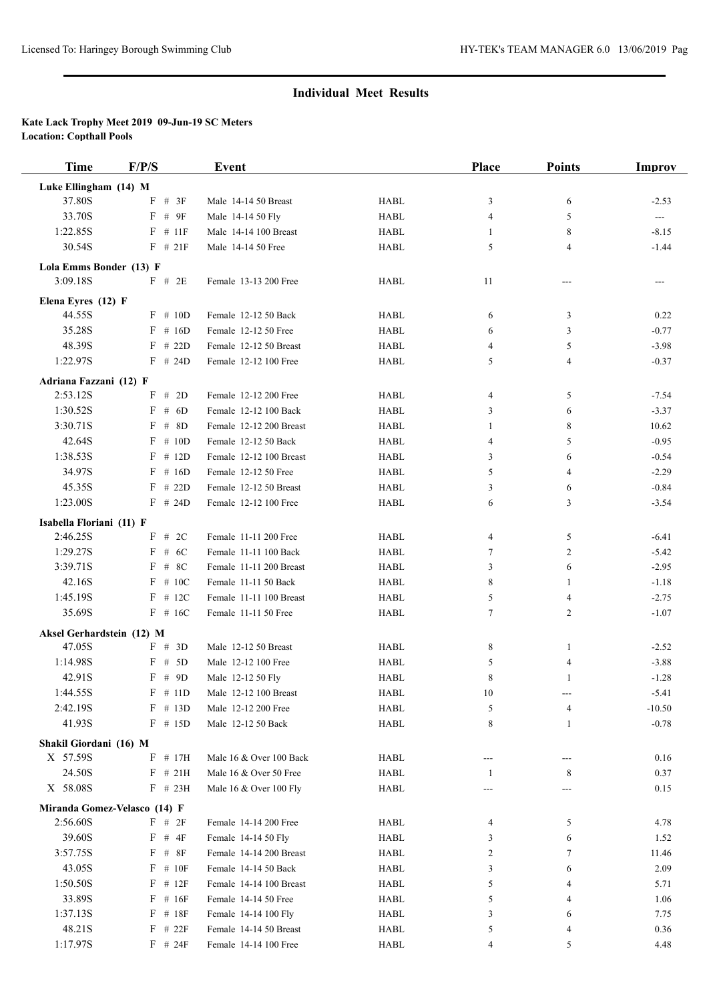| <b>Time</b>               | F/P/S                        | Event                   |             | Place  | <b>Points</b>  | Improv   |
|---------------------------|------------------------------|-------------------------|-------------|--------|----------------|----------|
| Luke Ellingham (14) M     |                              |                         |             |        |                |          |
| 37.80S                    | $F$ # 3F                     | Male 14-14 50 Breast    | <b>HABL</b> | 3      | 6              | $-2.53$  |
| 33.70S                    | $F$ # $9F$                   | Male 14-14 50 Fly       | <b>HABL</b> | 4      | 5              | $\sim$   |
| 1:22.85S                  | $F$ # 11F                    | Male 14-14 100 Breast   | <b>HABL</b> | 1      | 8              | $-8.15$  |
| 30.54S                    | $F$ # 21F                    | Male 14-14 50 Free      | <b>HABL</b> | 5      | 4              | $-1.44$  |
| Lola Emms Bonder (13) F   |                              |                         |             |        |                |          |
| 3:09.18S                  | F # 2E                       | Female 13-13 200 Free   | <b>HABL</b> | 11     | $---$          | $---$    |
|                           |                              |                         |             |        |                |          |
| Elena Eyres (12) F        |                              |                         |             |        |                |          |
| 44.55S                    | $F$ # 10D                    | Female 12-12 50 Back    | <b>HABL</b> | 6      | 3              | 0.22     |
| 35.28S                    | $F$ # 16D                    | Female 12-12 50 Free    | <b>HABL</b> | 6      | 3              | $-0.77$  |
| 48.39S<br>1:22.97S        | $F$ # 22D                    | Female 12-12 50 Breast  | <b>HABL</b> | 4      | 5              | $-3.98$  |
|                           | $F$ # 24D                    | Female 12-12 100 Free   | <b>HABL</b> | 5      | 4              | $-0.37$  |
| Adriana Fazzani (12) F    |                              |                         |             |        |                |          |
| 2:53.12S                  | F # 2D                       | Female 12-12 200 Free   | <b>HABL</b> | 4      | 5              | $-7.54$  |
| 1:30.52S                  | $F$ # 6D                     | Female 12-12 100 Back   | <b>HABL</b> | 3      | 6              | $-3.37$  |
| 3:30.71S                  | $F$ # 8D                     | Female 12-12 200 Breast | <b>HABL</b> | 1      | 8              | 10.62    |
| 42.64S                    | $F \# 10D$                   | Female 12-12 50 Back    | <b>HABL</b> | 4      | 5              | $-0.95$  |
| 1:38.53S                  | $F$ # 12D                    | Female 12-12 100 Breast | <b>HABL</b> | 3      | 6              | $-0.54$  |
| 34.97S                    | $F$ # 16D                    | Female 12-12 50 Free    | <b>HABL</b> | 5      | 4              | $-2.29$  |
| 45.35S                    | $F$ # 22D                    | Female 12-12 50 Breast  | <b>HABL</b> | 3      | 6              | $-0.84$  |
| 1:23.00S                  | $F$ # 24D                    | Female 12-12 100 Free   | <b>HABL</b> | 6      | 3              | $-3.54$  |
| Isabella Floriani (11) F  |                              |                         |             |        |                |          |
| 2:46.25S                  | $F$ # 2C                     | Female 11-11 200 Free   | <b>HABL</b> | 4      | 5              | $-6.41$  |
| 1:29.27S                  | # $6C$<br>F                  | Female 11-11 100 Back   | <b>HABL</b> | 7      | $\overline{c}$ | $-5.42$  |
| 3:39.71S                  | $F$ # 8C                     | Female 11-11 200 Breast | <b>HABL</b> | 3      | 6              | $-2.95$  |
| 42.16S                    | $F \# 10C$                   | Female 11-11 50 Back    | <b>HABL</b> | 8      | 1              | $-1.18$  |
| 1:45.19S                  | $F$ # 12C                    | Female 11-11 100 Breast | <b>HABL</b> | 5      | 4              | $-2.75$  |
| 35.69S                    | $F$ # 16C                    | Female 11-11 50 Free    | <b>HABL</b> | 7      | $\overline{2}$ | $-1.07$  |
| Aksel Gerhardstein (12) M |                              |                         |             |        |                |          |
| 47.05S                    | F # 3D                       | Male 12-12 50 Breast    | <b>HABL</b> | 8      | $\mathbf{1}$   | $-2.52$  |
| 1:14.98S                  | $F$ # 5D                     | Male 12-12 100 Free     | <b>HABL</b> | 5      | 4              | $-3.88$  |
| 42.91S                    | $F$ # 9D                     | Male 12-12 50 Fly       | <b>HABL</b> | 8      | 1              | $-1.28$  |
| 1:44.55S                  | $F$ # 11D                    | Male 12-12 100 Breast   | <b>HABL</b> | $10\,$ |                | $-5.41$  |
| 2:42.19S                  | $F$ # 13D                    | Male 12-12 200 Free     | HABL        | 5      | 4              | $-10.50$ |
| 41.93S                    | $F$ # 15D                    | Male 12-12 50 Back      | <b>HABL</b> | 8      | 1              | $-0.78$  |
| Shakil Giordani (16) M    |                              |                         |             |        |                |          |
| X 57.59S                  | $F$ # 17H                    | Male 16 & Over 100 Back | HABL        | ---    | ---            | 0.16     |
| 24.50S                    | $F$ # 21H                    | Male 16 & Over 50 Free  | <b>HABL</b> | -1     | 8              | 0.37     |
| X 58.08S                  | $F$ # 23H                    | Male 16 & Over 100 Fly  | HABL        |        |                | 0.15     |
|                           | Miranda Gomez-Velasco (14) F |                         |             |        |                |          |
| 2:56.60S                  | $F$ # 2F                     | Female 14-14 200 Free   | <b>HABL</b> | 4      | 5              | 4.78     |
| 39.60S                    | $F$ # $4F$                   | Female 14-14 50 Fly     | <b>HABL</b> | 3      | 6              | 1.52     |
| 3:57.75S                  | $F$ # $8F$                   | Female 14-14 200 Breast | HABL        | 2      | 7              | 11.46    |
| 43.05S                    | $F \# 10F$                   | Female 14-14 50 Back    | HABL        | 3      | 6              | 2.09     |
| 1:50.50S                  | $F$ # 12 $F$                 | Female 14-14 100 Breast | HABL        | 5      | 4              | 5.71     |
| 33.89S                    | $F$ # 16F                    | Female 14-14 50 Free    | HABL        | 5      | 4              | 1.06     |
| 1:37.13S                  | $F$ # 18 $F$                 | Female 14-14 100 Fly    | HABL        | 3      | 6              | 7.75     |
| 48.21S                    | $F$ # 22 $F$                 | Female 14-14 50 Breast  | HABL        | 5      | 4              | 0.36     |
| 1:17.97S                  | $F$ # 24F                    | Female 14-14 100 Free   | <b>HABL</b> | 4      | 5              | 4.48     |
|                           |                              |                         |             |        |                |          |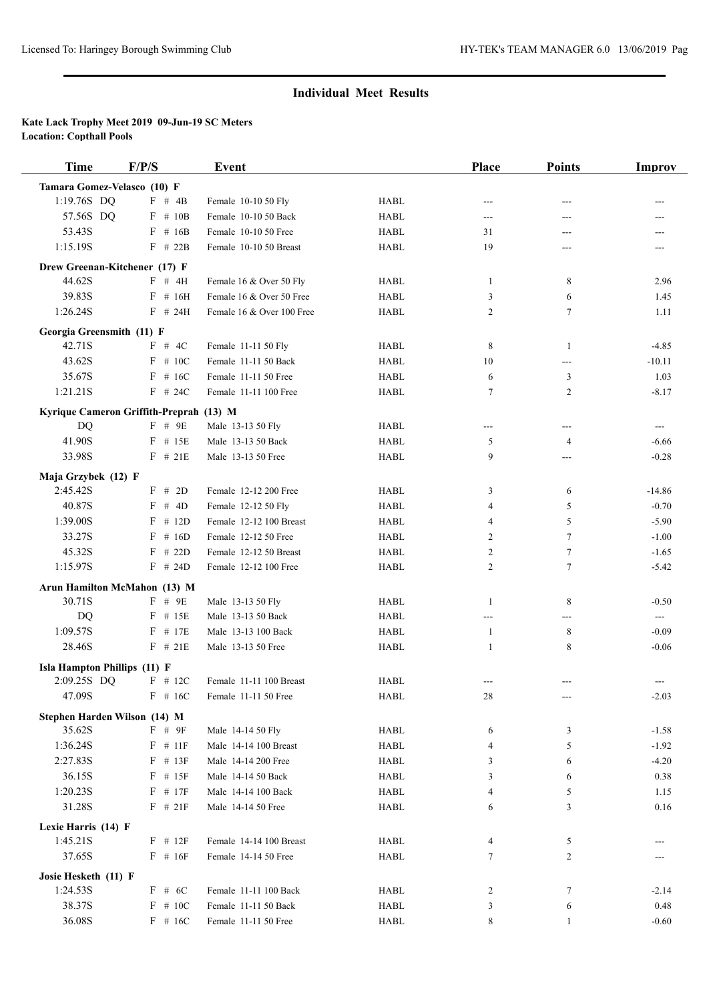| <b>Time</b>                             | F/P/S        | <b>Event</b>              |             | <b>Place</b>   | <b>Points</b>  | <b>Improv</b> |
|-----------------------------------------|--------------|---------------------------|-------------|----------------|----------------|---------------|
| Tamara Gomez-Velasco (10) F             |              |                           |             |                |                |               |
| 1:19.76S DQ                             | F # 4B       | Female 10-10 50 Fly       | <b>HABL</b> | ---            | ---            |               |
| 57.56S DQ                               | $F$ # 10B    | Female 10-10 50 Back      | <b>HABL</b> | ---            | ---            | ---           |
| 53.43S                                  | $F$ # 16B    | Female 10-10 50 Free      | <b>HABL</b> | 31             | ---            |               |
| 1:15.19S                                | $F$ # 22B    | Female 10-10 50 Breast    | <b>HABL</b> | 19             | ---            |               |
| Drew Greenan-Kitchener (17) F           |              |                           |             |                |                |               |
| 44.62S                                  | $F$ # 4H     | Female 16 & Over 50 Fly   | <b>HABL</b> | 1              | 8              | 2.96          |
| 39.83S                                  | $F$ # 16H    | Female 16 & Over 50 Free  | <b>HABL</b> | 3              | 6              | 1.45          |
| 1:26.24S                                | $F$ # 24H    | Female 16 & Over 100 Free | <b>HABL</b> | 2              | $\tau$         | 1.11          |
|                                         |              |                           |             |                |                |               |
| Georgia Greensmith (11) F<br>42.71S     | F # 4C       | Female 11-11 50 Fly       | <b>HABL</b> | 8              | 1              | $-4.85$       |
| 43.62S                                  | $F$ # 10C    | Female 11-11 50 Back      | <b>HABL</b> | 10             | ---            | $-10.11$      |
| 35.67S                                  | $F$ # 16C    | Female 11-11 50 Free      | <b>HABL</b> | 6              | 3              | 1.03          |
| 1:21.21S                                | $F$ # 24C    | Female 11-11 100 Free     | <b>HABL</b> | 7              | $\overline{2}$ | $-8.17$       |
|                                         |              |                           |             |                |                |               |
| Kyrique Cameron Griffith-Preprah (13) M |              |                           |             |                |                |               |
| DQ                                      | $F$ # 9E     | Male 13-13 50 Fly         | <b>HABL</b> | ---            | $---$          | $---$         |
| 41.90S                                  | $F$ # 15E    | Male 13-13 50 Back        | <b>HABL</b> | 5              | $\overline{4}$ | $-6.66$       |
| 33.98S                                  | $F$ # 21E    | Male 13-13 50 Free        | <b>HABL</b> | 9              | ---            | $-0.28$       |
| Maja Grzybek (12) F                     |              |                           |             |                |                |               |
| 2:45.42S                                | F # 2D       | Female 12-12 200 Free     | <b>HABL</b> | 3              | 6              | $-14.86$      |
| 40.87S                                  | F # 4D       | Female 12-12 50 Fly       | <b>HABL</b> | 4              | 5              | $-0.70$       |
| 1:39.00S                                | $F$ # 12D    | Female 12-12 100 Breast   | <b>HABL</b> | 4              | 5              | $-5.90$       |
| 33.27S                                  | $F$ # 16D    | Female 12-12 50 Free      | <b>HABL</b> | 2              | $\tau$         | $-1.00$       |
| 45.32S                                  | $F$ # 22D    | Female 12-12 50 Breast    | <b>HABL</b> | 2              | $\tau$         | $-1.65$       |
| 1:15.97S                                | $F$ # 24D    | Female 12-12 100 Free     | <b>HABL</b> | $\overline{2}$ | $\tau$         | $-5.42$       |
| Arun Hamilton McMahon (13) M            |              |                           |             |                |                |               |
| 30.71S                                  | $F$ # $9E$   | Male 13-13 50 Fly         | <b>HABL</b> | 1              | 8              | $-0.50$       |
| DQ                                      | $F$ # 15E    | Male 13-13 50 Back        | <b>HABL</b> | ---            | ---            | ---           |
| 1:09.57S                                | $F$ # 17E    | Male 13-13 100 Back       | <b>HABL</b> | 1              | 8              | $-0.09$       |
| 28.46S                                  | $F$ # 21E    | Male 13-13 50 Free        | <b>HABL</b> | 1              | 8              | $-0.06$       |
| Isla Hampton Phillips (11) F            |              |                           |             |                |                |               |
| 2:09.25S DQ                             | $F$ # 12C    | Female 11-11 100 Breast   | <b>HABL</b> | ---            | $---$          | $---$         |
| 47.09S                                  | $F$ # 16C    | Female 11-11 50 Free      | HABL        | 28             | ---            | $-2.03$       |
|                                         |              |                           |             |                |                |               |
| Stephen Harden Wilson (14) M            |              |                           |             |                |                |               |
| 35.62S                                  | F # 9F       | Male 14-14 50 Fly         | <b>HABL</b> | 6              | 3              | $-1.58$       |
| 1:36.24S                                | $F$ # 11F    | Male 14-14 100 Breast     | <b>HABL</b> | 4              | 5              | $-1.92$       |
| 2:27.83S                                | $F$ # 13 $F$ | Male 14-14 200 Free       | <b>HABL</b> | 3              | 6              | $-4.20$       |
| 36.15S                                  | $F$ # 15F    | Male 14-14 50 Back        | <b>HABL</b> | 3              | 6              | 0.38          |
| 1:20.23S                                | $F$ # 17 $F$ | Male 14-14 100 Back       | <b>HABL</b> | 4              | 5              | 1.15          |
| 31.28S                                  | $F$ # 21F    | Male 14-14 50 Free        | <b>HABL</b> | 6              | 3              | 0.16          |
| Lexie Harris (14) F                     |              |                           |             |                |                |               |
| 1:45.21S                                | $F$ # 12 $F$ | Female 14-14 100 Breast   | <b>HABL</b> | 4              | 5              |               |
| 37.65S                                  | $F$ # 16F    | Female 14-14 50 Free      | <b>HABL</b> | 7              | $\overline{2}$ |               |
| Josie Hesketh (11) F                    |              |                           |             |                |                |               |
| 1:24.53S                                | F # 6C       | Female 11-11 100 Back     | HABL        | 2              | $\tau$         | $-2.14$       |
| 38.37S                                  | $F \# 10C$   | Female 11-11 50 Back      | HABL        | 3              | 6              | 0.48          |
| 36.08S                                  | $F$ # 16C    | Female 11-11 50 Free      | <b>HABL</b> | 8              | $\mathbf{1}$   | $-0.60$       |
|                                         |              |                           |             |                |                |               |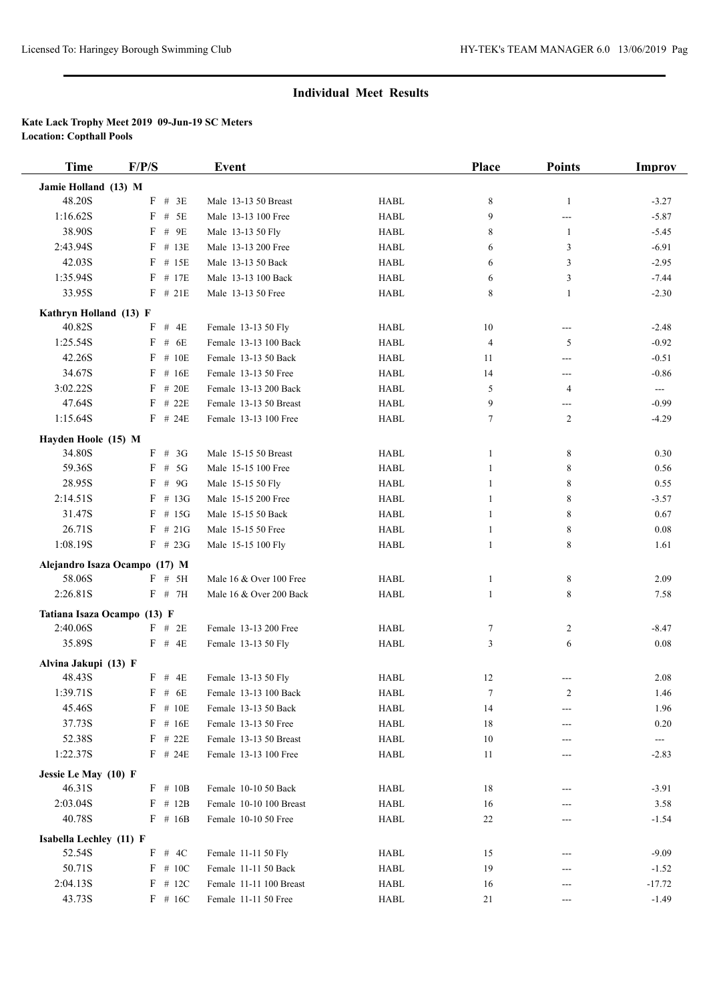| <b>Time</b>                 | F/P/S                         | <b>Event</b>                             |                            | Place       | <b>Points</b>  | Improv                 |
|-----------------------------|-------------------------------|------------------------------------------|----------------------------|-------------|----------------|------------------------|
| Jamie Holland (13) M        |                               |                                          |                            |             |                |                        |
| 48.20S                      | $F$ # 3E                      | Male 13-13 50 Breast                     | <b>HABL</b>                | $\,$ 8 $\,$ | $\mathbf{1}$   | $-3.27$                |
| 1:16.62S                    | $F$ # 5E                      | Male 13-13 100 Free                      | <b>HABL</b>                | 9           | ---            | $-5.87$                |
| 38.90S                      | $F$ # 9E                      | Male 13-13 50 Fly                        | <b>HABL</b>                | 8           | $\mathbf{1}$   | $-5.45$                |
| 2:43.94S                    | $F$ # 13E                     | Male 13-13 200 Free                      | <b>HABL</b>                | 6           | 3              | $-6.91$                |
| 42.03S                      | $F$ # 15E                     | Male 13-13 50 Back                       | <b>HABL</b>                | 6           | 3              | $-2.95$                |
| 1:35.94S                    | $F$ # 17E                     | Male 13-13 100 Back                      | <b>HABL</b>                | 6           | 3              | $-7.44$                |
| 33.95S                      | $F$ # 21E                     | Male 13-13 50 Free                       | <b>HABL</b>                | 8           | $\mathbf{1}$   | $-2.30$                |
| Kathryn Holland (13) F      |                               |                                          |                            |             |                |                        |
| 40.82S                      | $F$ # 4E                      | Female 13-13 50 Fly                      | <b>HABL</b>                | 10          | ---            | $-2.48$                |
| 1:25.54S                    | $F$ # 6E                      | Female 13-13 100 Back                    | <b>HABL</b>                | 4           | 5              | $-0.92$                |
| 42.26S                      | $F$ # 10E                     | Female 13-13 50 Back                     | <b>HABL</b>                | 11          | ---            | $-0.51$                |
| 34.67S                      | $F$ # 16E                     | Female 13-13 50 Free                     | <b>HABL</b>                | 14          | ---            | $-0.86$                |
| 3:02.22S                    | $F$ # 20E                     | Female 13-13 200 Back                    | <b>HABL</b>                | 5           | $\overline{4}$ | $\sim$ $\sim$          |
| 47.64S                      | $F$ # 22E                     | Female 13-13 50 Breast                   | <b>HABL</b>                | 9           | ---            | $-0.99$                |
| 1:15.64S                    | $F$ # 24E                     | Female 13-13 100 Free                    | <b>HABL</b>                | 7           | $\overline{2}$ | $-4.29$                |
|                             |                               |                                          |                            |             |                |                        |
| Hayden Hoole (15) M         | $F \# 3G$                     |                                          |                            |             |                |                        |
| 34.80S<br>59.36S            | $F$ # 5G                      | Male 15-15 50 Breast                     | <b>HABL</b><br><b>HABL</b> | 1           | 8              | 0.30                   |
| 28.95S                      | $F$ # 9G                      | Male 15-15 100 Free<br>Male 15-15 50 Fly |                            | 1           | 8              | 0.56                   |
|                             |                               |                                          | <b>HABL</b>                | 1           | 8              | 0.55                   |
| 2:14.51S                    | $F$ # 13G                     | Male 15-15 200 Free                      | <b>HABL</b>                | 1           | 8              | $-3.57$                |
| 31.47S                      | $F$ # 15G                     | Male 15-15 50 Back                       | <b>HABL</b>                | 1           | 8              | 0.67                   |
| 26.71S                      | $F$ # 21G                     | Male 15-15 50 Free                       | <b>HABL</b>                | 1           | 8              | 0.08                   |
| 1:08.19S                    | $F$ # 23G                     | Male 15-15 100 Fly                       | <b>HABL</b>                | 1           | 8              | 1.61                   |
|                             | Alejandro Isaza Ocampo (17) M |                                          |                            |             |                |                        |
| 58.06S                      | $F$ # 5H                      | Male 16 & Over 100 Free                  | <b>HABL</b>                | 1           | 8              | 2.09                   |
| 2:26.81S                    | $F$ # 7H                      | Male 16 & Over 200 Back                  | <b>HABL</b>                | 1           | 8              | 7.58                   |
| Tatiana Isaza Ocampo (13) F |                               |                                          |                            |             |                |                        |
| 2:40.06S                    | $F$ # 2E                      | Female 13-13 200 Free                    | <b>HABL</b>                | 7           | 2              | $-8.47$                |
| 35.89S                      | $F$ # 4E                      | Female 13-13 50 Fly                      | <b>HABL</b>                | 3           | 6              | 0.08                   |
| Alvina Jakupi (13) F        |                               |                                          |                            |             |                |                        |
| 48.43S                      | $F$ # 4E                      | Female 13-13 50 Fly                      | <b>HABL</b>                | 12          |                | 2.08                   |
| 1:39.71S                    | $F$ # 6E                      | Female 13-13 100 Back                    | <b>HABL</b>                | 7           | 2              | 1.46                   |
| 45.46S                      | $F$ # 10E                     | Female 13-13 50 Back                     | HABL                       | 14          |                | 1.96                   |
| 37.73S                      | $F$ # 16E                     | Female 13-13 50 Free                     | HABL                       | 18          | ---            | 0.20                   |
| 52.38S                      | $F$ # 22E                     | Female 13-13 50 Breast                   | HABL                       | 10          |                | $\qquad \qquad \cdots$ |
| 1:22.37S                    | $F$ # 24E                     | Female 13-13 100 Free                    | HABL                       | 11          | ---            | $-2.83$                |
| Jessie Le May (10) F        |                               |                                          |                            |             |                |                        |
| 46.31S                      | $F \# 10B$                    | Female 10-10 50 Back                     | HABL                       | 18          |                | $-3.91$                |
| 2:03.04S                    | $F$ # 12B                     | Female 10-10 100 Breast                  | <b>HABL</b>                | 16          |                | 3.58                   |
| 40.78S                      | $F$ # 16B                     | Female 10-10 50 Free                     | HABL                       | 22          |                | $-1.54$                |
| Isabella Lechley (11) F     |                               |                                          |                            |             |                |                        |
| 52.54S                      | F # 4C                        | Female 11-11 50 Fly                      | HABL                       | 15          |                | $-9.09$                |
| 50.71S                      | $F \# 10C$                    | Female 11-11 50 Back                     | <b>HABL</b>                | 19          | ---            | $-1.52$                |
| 2:04.13S                    | $F$ # 12C                     | Female 11-11 100 Breast                  | HABL                       | 16          | ---            | $-17.72$               |
| 43.73S                      | $F$ # 16C                     | Female 11-11 50 Free                     | HABL                       | 21          | ---            | $-1.49$                |
|                             |                               |                                          |                            |             |                |                        |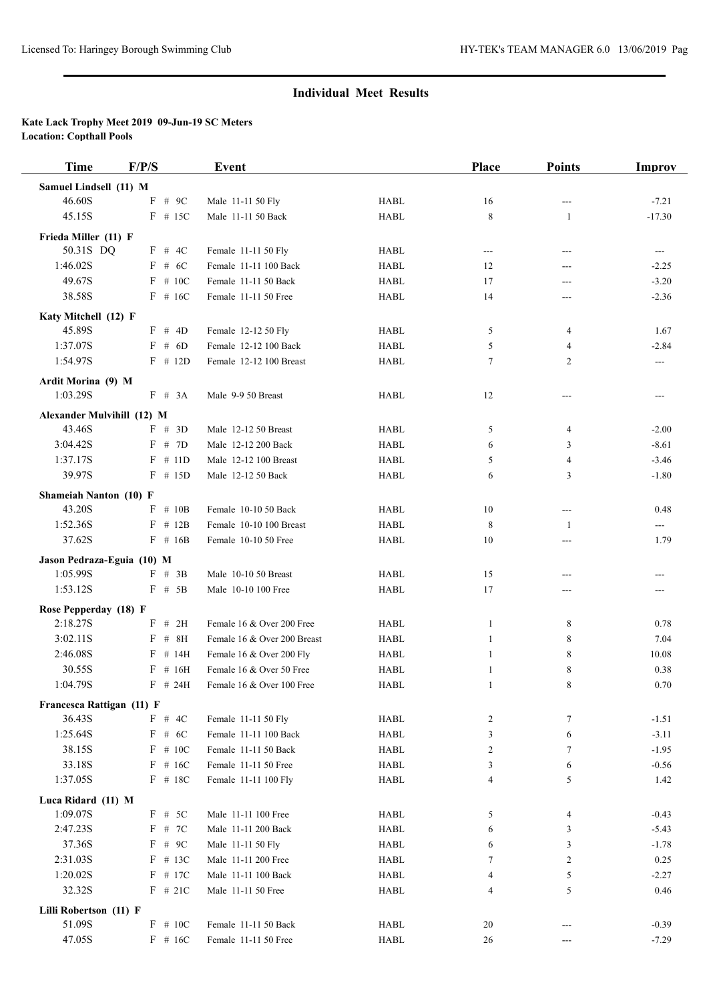| <b>Time</b>                       | F/P/S       | Event                       |             | <b>Place</b>   | <b>Points</b>  | Improv        |
|-----------------------------------|-------------|-----------------------------|-------------|----------------|----------------|---------------|
| Samuel Lindsell (11) M            |             |                             |             |                |                |               |
| 46.60S                            | F<br>$#$ 9C | Male 11-11 50 Fly           | <b>HABL</b> | 16             |                | $-7.21$       |
| 45.15S                            | $F$ # 15C   | Male 11-11 50 Back          | <b>HABL</b> | 8              | 1              | $-17.30$      |
| Frieda Miller (11) F              |             |                             |             |                |                |               |
| 50.31S DQ                         | $F$ # 4C    | Female 11-11 50 Fly         | <b>HABL</b> | ---            | $---$          | $\sim$ $\sim$ |
| 1:46.02S                          | $F$ # 6C    | Female 11-11 100 Back       | <b>HABL</b> | 12             | ---            | $-2.25$       |
| 49.67S                            | $F$ # 10C   | Female 11-11 50 Back        | <b>HABL</b> | 17             | ---            | $-3.20$       |
| 38.58S                            | $F$ # 16C   | Female 11-11 50 Free        | <b>HABL</b> | 14             | ---            | $-2.36$       |
|                                   |             |                             |             |                |                |               |
| Katy Mitchell (12) F<br>45.89S    | F # 4D      | Female 12-12 50 Fly         | <b>HABL</b> | 5              | 4              | 1.67          |
| 1:37.07S                          | $F$ # 6D    | Female 12-12 100 Back       | <b>HABL</b> | 5              | 4              | $-2.84$       |
| 1:54.97S                          | $F$ # 12D   | Female 12-12 100 Breast     | <b>HABL</b> | $\tau$         | $\overline{c}$ | $---$         |
|                                   |             |                             |             |                |                |               |
| Ardit Morina (9) M                |             |                             |             |                |                |               |
| 1:03.29S                          | F # 3A      | Male 9-9 50 Breast          | <b>HABL</b> | 12             | ---            | ---           |
| Alexander Mulvihill (12) M        |             |                             |             |                |                |               |
| 43.46S                            | F # 3D      | Male 12-12 50 Breast        | <b>HABL</b> | 5              | $\overline{4}$ | $-2.00$       |
| 3:04.42S                          | F # 7D      | Male 12-12 200 Back         | <b>HABL</b> | 6              | 3              | $-8.61$       |
| 1:37.17S                          | $F$ # 11D   | Male 12-12 100 Breast       | <b>HABL</b> | 5              | 4              | $-3.46$       |
| 39.97S                            | $F$ # 15D   | Male 12-12 50 Back          | <b>HABL</b> | 6              | 3              | $-1.80$       |
| Shameiah Nanton (10) F            |             |                             |             |                |                |               |
| 43.20S                            | $F$ # 10B   | Female 10-10 50 Back        | <b>HABL</b> | 10             | $---$          | 0.48          |
| 1:52.36S                          | $F$ # 12B   | Female 10-10 100 Breast     | <b>HABL</b> | 8              | 1              | ---           |
| 37.62S                            | $F$ # 16B   | Female 10-10 50 Free        | <b>HABL</b> | 10             | ---            | 1.79          |
| Jason Pedraza-Eguia (10) M        |             |                             |             |                |                |               |
| 1:05.99S                          | $F$ # 3B    | Male 10-10 50 Breast        | <b>HABL</b> | 15             | ---            | ---           |
| 1:53.12S                          | $F$ # 5B    | Male 10-10 100 Free         | <b>HABL</b> | 17             | ---            |               |
|                                   |             |                             |             |                |                |               |
| Rose Pepperday (18) F<br>2:18.27S | # 2H<br>F   | Female 16 & Over 200 Free   | <b>HABL</b> | 1              | 8              | 0.78          |
| 3:02.11S                          | # $8H$<br>F | Female 16 & Over 200 Breast | <b>HABL</b> | $\mathbf{1}$   | 8              | 7.04          |
| 2:46.08S                          | $F$ # 14H   | Female 16 & Over 200 Fly    | <b>HABL</b> | 1              | 8              | 10.08         |
| 30.55S                            | # 16H<br>F  | Female 16 & Over 50 Free    | <b>HABL</b> | 1              | 8              | 0.38          |
| 1:04.79S                          | $F$ # 24H   | Female 16 & Over 100 Free   | <b>HABL</b> | 1              | 8              | 0.70          |
|                                   |             |                             |             |                |                |               |
| Francesca Rattigan (11) F         |             |                             |             |                |                |               |
| 36.43S                            | F # 4C      | Female 11-11 50 Fly         | HABL        | 2              | 7              | $-1.51$       |
| 1:25.64S                          | $F$ # 6C    | Female 11-11 100 Back       | <b>HABL</b> | 3              | 6              | $-3.11$       |
| 38.15S                            | $F$ # 10C   | Female 11-11 50 Back        | <b>HABL</b> | $\overline{c}$ | 7              | $-1.95$       |
| 33.18S                            | $F$ # 16C   | Female 11-11 50 Free        | <b>HABL</b> | 3              | 6              | $-0.56$       |
| 1:37.05S                          | F # 18C     | Female 11-11 100 Fly        | HABL        | $\overline{4}$ | 5              | 1.42          |
| Luca Ridard (11) M                |             |                             |             |                |                |               |
| 1:09.07S                          | $F$ # 5C    | Male 11-11 100 Free         | <b>HABL</b> | 5              | 4              | $-0.43$       |
| 2:47.23S                          | F # 7C      | Male 11-11 200 Back         | HABL        | 6              | 3              | $-5.43$       |
| 37.36S                            | F # 9C      | Male 11-11 50 Fly           | HABL        | 6              | 3              | $-1.78$       |
| 2:31.03S                          | F # 13C     | Male 11-11 200 Free         | HABL        | 7              | $\overline{c}$ | 0.25          |
| 1:20.02S                          | $F$ # 17C   | Male 11-11 100 Back         | HABL        | 4              | 5              | $-2.27$       |
| 32.32S                            | $F$ # 21C   | Male 11-11 50 Free          | HABL        | 4              | 5              | 0.46          |
| Lilli Robertson (11) F            |             |                             |             |                |                |               |
| 51.09S                            | $F$ # 10C   | Female 11-11 50 Back        | HABL        | 20             |                | $-0.39$       |
| 47.05S                            | $F$ # 16C   | Female 11-11 50 Free        | <b>HABL</b> | 26             | ---            | $-7.29$       |
|                                   |             |                             |             |                |                |               |